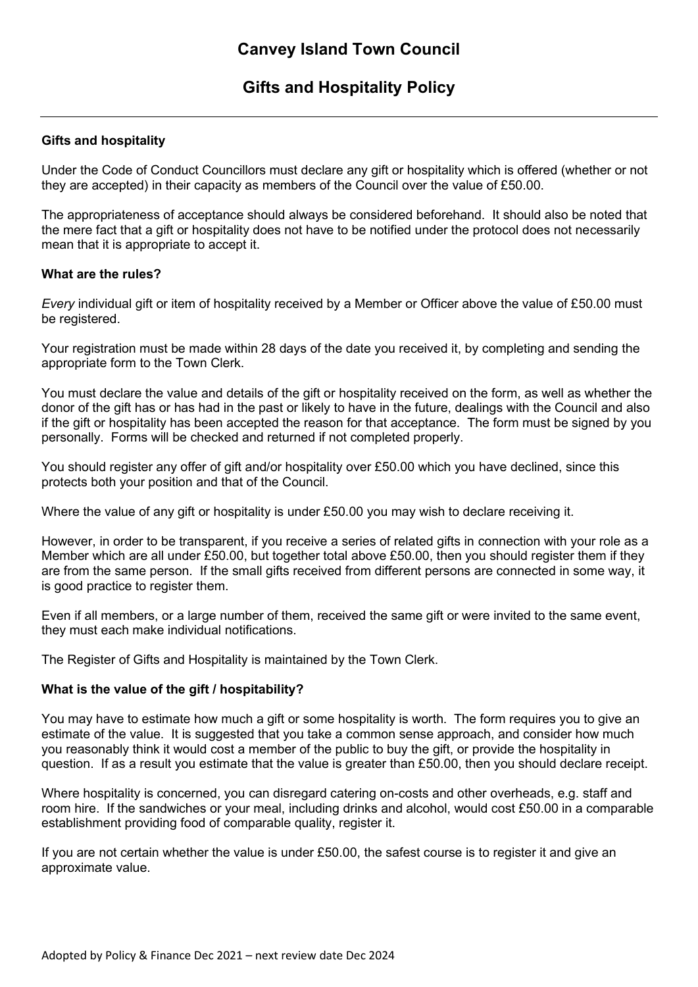# **Gifts and Hospitality Policy**

### **Gifts and hospitality**

Under the Code of Conduct Councillors must declare any gift or hospitality which is offered (whether or not they are accepted) in their capacity as members of the Council over the value of £50.00.

The appropriateness of acceptance should always be considered beforehand. It should also be noted that the mere fact that a gift or hospitality does not have to be notified under the protocol does not necessarily mean that it is appropriate to accept it.

#### **What are the rules?**

*Every* individual gift or item of hospitality received by a Member or Officer above the value of £50.00 must be registered.

Your registration must be made within 28 days of the date you received it, by completing and sending the appropriate form to the Town Clerk.

You must declare the value and details of the gift or hospitality received on the form, as well as whether the donor of the gift has or has had in the past or likely to have in the future, dealings with the Council and also if the gift or hospitality has been accepted the reason for that acceptance. The form must be signed by you personally. Forms will be checked and returned if not completed properly.

You should register any offer of gift and/or hospitality over £50.00 which you have declined, since this protects both your position and that of the Council.

Where the value of any gift or hospitality is under £50.00 you may wish to declare receiving it.

However, in order to be transparent, if you receive a series of related gifts in connection with your role as a Member which are all under £50.00, but together total above £50.00, then you should register them if they are from the same person. If the small gifts received from different persons are connected in some way, it is good practice to register them.

Even if all members, or a large number of them, received the same gift or were invited to the same event, they must each make individual notifications.

The Register of Gifts and Hospitality is maintained by the Town Clerk.

### **What is the value of the gift / hospitability?**

You may have to estimate how much a gift or some hospitality is worth. The form requires you to give an estimate of the value. It is suggested that you take a common sense approach, and consider how much you reasonably think it would cost a member of the public to buy the gift, or provide the hospitality in question. If as a result you estimate that the value is greater than £50.00, then you should declare receipt.

Where hospitality is concerned, you can disregard catering on-costs and other overheads, e.g. staff and room hire. If the sandwiches or your meal, including drinks and alcohol, would cost £50.00 in a comparable establishment providing food of comparable quality, register it.

If you are not certain whether the value is under £50.00, the safest course is to register it and give an approximate value.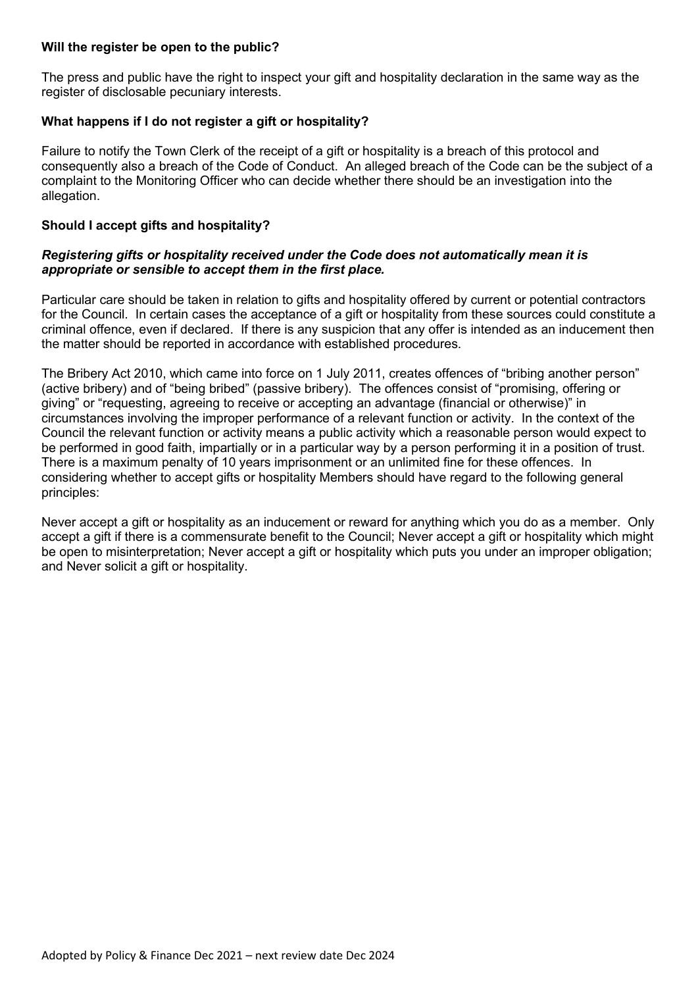### **Will the register be open to the public?**

The press and public have the right to inspect your gift and hospitality declaration in the same way as the register of disclosable pecuniary interests.

### **What happens if I do not register a gift or hospitality?**

Failure to notify the Town Clerk of the receipt of a gift or hospitality is a breach of this protocol and consequently also a breach of the Code of Conduct. An alleged breach of the Code can be the subject of a complaint to the Monitoring Officer who can decide whether there should be an investigation into the allegation.

#### **Should I accept gifts and hospitality?**

#### *Registering gifts or hospitality received under the Code does not automatically mean it is appropriate or sensible to accept them in the first place.*

Particular care should be taken in relation to gifts and hospitality offered by current or potential contractors for the Council. In certain cases the acceptance of a gift or hospitality from these sources could constitute a criminal offence, even if declared. If there is any suspicion that any offer is intended as an inducement then the matter should be reported in accordance with established procedures.

The Bribery Act 2010, which came into force on 1 July 2011, creates offences of "bribing another person" (active bribery) and of "being bribed" (passive bribery). The offences consist of "promising, offering or giving" or "requesting, agreeing to receive or accepting an advantage (financial or otherwise)" in circumstances involving the improper performance of a relevant function or activity. In the context of the Council the relevant function or activity means a public activity which a reasonable person would expect to be performed in good faith, impartially or in a particular way by a person performing it in a position of trust. There is a maximum penalty of 10 years imprisonment or an unlimited fine for these offences. In considering whether to accept gifts or hospitality Members should have regard to the following general principles:

Never accept a gift or hospitality as an inducement or reward for anything which you do as a member. Only accept a gift if there is a commensurate benefit to the Council; Never accept a gift or hospitality which might be open to misinterpretation; Never accept a gift or hospitality which puts you under an improper obligation; and Never solicit a gift or hospitality.